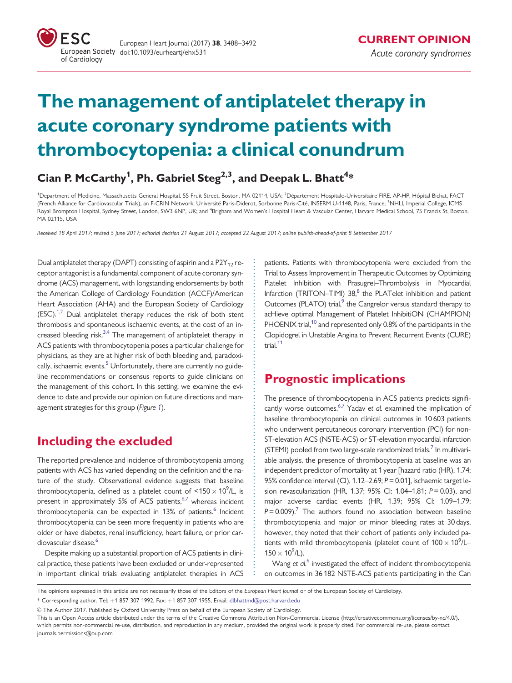

# The management of antiplatelet therapy in acute coronary syndrome patients with thrombocytopenia: a clinical conundrum

Cian P. McCarthy<sup>1</sup>, Ph. Gabriel Steg<sup>2,3</sup>, and Deepak L. Bhatt<sup>4</sup>\*

<sup>1</sup>Department of Medicine, Massachusetts General Hospital, 55 Fruit Street, Boston, MA 02114, USA; <sup>2</sup>Département Hospitalo-Universitaire FIRE, AP-HP, Hôpital Bichat, FACT (French Alliance for Cardiovascular Trials), an F-CRIN Network, Université Paris-Diderot, Sorbonne Paris-Cité, INSERM U-1148, Paris, France; <sup>3</sup>NHLI, Imperial College, ICMS Royal Brompton Hospital, Sydney Street, London, SW3 6NP, UK; and <sup>4</sup>Brigham and Women's Hospital Heart & Vascular Center, Harvard Medical School, 75 Francis St, Boston, MA 02115, USA

Received 18 April 2017; revised 5 June 2017; editorial decision 21 August 2017; accepted 22 August 2017; online publish-ahead-of-print 8 September 2017

Dual antiplatelet therapy (DAPT) consisting of aspirin and a  $P2Y_{12}$  receptor antagonist is a fundamental component of acute coronary syndrome (ACS) management, with longstanding endorsements by both the American College of Cardiology Foundation (ACCF)/American Heart Association (AHA) and the European Society of Cardiology  $(ESC).<sup>1,2</sup>$  $(ESC).<sup>1,2</sup>$  $(ESC).<sup>1,2</sup>$  Dual antiplatelet therapy reduces the risk of both stent thrombosis and spontaneous ischaemic events, at the cost of an increased bleeding risk. $3,4$  $3,4$  The management of antiplatelet therapy in ACS patients with thrombocytopenia poses a particular challenge for physicians, as they are at higher risk of both bleeding and, paradoxi-cally, ischaemic events.<sup>[5](#page-4-0)</sup> Unfortunately, there are currently no guideline recommendations or consensus reports to guide clinicians on the management of this cohort. In this setting, we examine the evidence to date and provide our opinion on future directions and management strategies for this group (Figure [1](#page-1-0)).

# Including the excluded

The reported prevalence and incidence of thrombocytopenia among patients with ACS has varied depending on the definition and the nature of the study. Observational evidence suggests that baseline thrombocytopenia, defined as a platelet count of  $\langle 150 \times 10^9 \rangle$ L, is present in approximately 5% of ACS patients,<sup>6,7</sup> whereas incident thrombocytopenia can be expected in 13% of patients.<sup>6</sup> Incident thrombocytopenia can be seen more frequently in patients who are older or have diabetes, renal insufficiency, heart failure, or prior cardiovascular disease.<sup>6</sup>

Despite making up a substantial proportion of ACS patients in clinical practice, these patients have been excluded or under-represented in important clinical trials evaluating antiplatelet therapies in ACS patients. Patients with thrombocytopenia were excluded from the Trial to Assess Improvement in Therapeutic Outcomes by Optimizing Platelet Inhibition with Prasugrel–Thrombolysis in Myocardial Infarction (TRITON–TIMI)  $38<sup>8</sup>$  the PLATelet inhibition and patient Outcomes (PLATO) trial, $9$  the Cangrelor versus standard therapy to acHieve optimal Management of Platelet InhibitiON (CHAMPION) PHOENIX trial,<sup>10</sup> and represented only 0.8% of the participants in the Clopidogrel in Unstable Angina to Prevent Recurrent Events (CURE) trial.<sup>[11](#page-4-0)</sup>

# Prognostic implications

The presence of thrombocytopenia in ACS patients predicts significantly worse outcomes. $67$  $67$  Yadav et al. examined the implication of baseline thrombocytopenia on clinical outcomes in 10 603 patients who underwent percutaneous coronary intervention (PCI) for non-ST-elevation ACS (NSTE-ACS) or ST-elevation myocardial infarction (STEMI) pooled from two large-scale randomized trials. $^7$  In multivariable analysis, the presence of thrombocytopenia at baseline was an independent predictor of mortality at 1 year [hazard ratio (HR), 1.74; 95% confidence interval (CI), 1.12–2.69; P = 0.01], ischaemic target lesion revascularization (HR, 1.37; 95% CI: 1.04–1.81; P= 0.03), and major adverse cardiac events (HR, 1.39; 95% CI: 1.09–1.79;  $P = 0.009$ .<sup>7</sup> The authors found no association between baseline thrombocytopenia and major or minor bleeding rates at 30 days, however, they noted that their cohort of patients only included patients with mild thrombocytopenia (platelet count of  $100 \times 10^9$ /L- $150 \times 10^{9}$ /L).

Wang et al.<sup>[6](#page-4-0)</sup> investigated the effect of incident thrombocytopenia on outcomes in 36 182 NSTE-ACS patients participating in the Can

V<sup>C</sup> The Author 2017. Published by Oxford University Press on behalf of the European Society of Cardiology.

. . . . . . . . . . . . . . . . . . . . . . . . . . . . . . . . . . . . . . . . . . . . . . . . . . . . . . . . . . . . . . . . . . . . . . . . . . . . . . . . . . . . . . . . . . . . . .

The opinions expressed in this article are not necessarily those of the Editors of the European Heart Journal or of the European Society of Cardiology.

<sup>\*</sup> Corresponding author. Tel: þ1 857 307 1992, Fax: þ1 857 307 1955, Email: [dlbhattmd@post.harvard.edu](mailto:)

This is an Open Access article distributed under the terms of the Creative Commons Attribution Non-Commercial License (http://creativecommons.org/licenses/by-nc/4.0/), which permits non-commercial re-use, distribution, and reproduction in any medium, provided the original work is properly cited. For commercial re-use, please contact journals.permissions@oup.com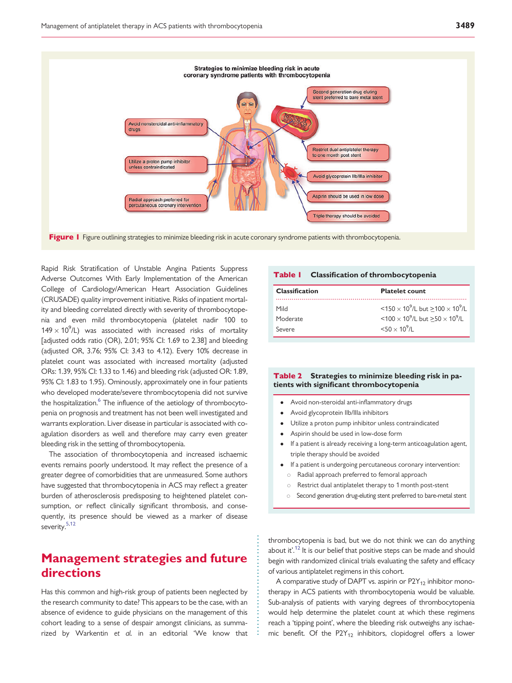<span id="page-1-0"></span>

. . . . . . . . . . . . . . . . . . . . . . . . . . . . . .

Figure I Figure outlining strategies to minimize bleeding risk in acute coronary syndrome patients with thrombocytopenia.

Rapid Risk Stratification of Unstable Angina Patients Suppress Adverse Outcomes With Early Implementation of the American College of Cardiology/American Heart Association Guidelines (CRUSADE) quality improvement initiative. Risks of inpatient mortality and bleeding correlated directly with severity of thrombocytopenia and even mild thrombocytopenia (platelet nadir 100 to  $149 \times 10^{9}$ /L) was associated with increased risks of mortality [adjusted odds ratio (OR), 2.01; 95% CI: 1.69 to 2.38] and bleeding (adjusted OR, 3.76; 95% CI: 3.43 to 4.12). Every 10% decrease in platelet count was associated with increased mortality (adjusted ORs: 1.39, 95% CI: 1.33 to 1.46) and bleeding risk (adjusted OR: 1.89, 95% CI: 1.83 to 1.95). Ominously, approximately one in four patients who developed moderate/severe thrombocytopenia did not survive the hospitalization.<sup>6</sup> The influence of the aetiology of thrombocytopenia on prognosis and treatment has not been well investigated and warrants exploration. Liver disease in particular is associated with coagulation disorders as well and therefore may carry even greater bleeding risk in the setting of thrombocytopenia.

The association of thrombocytopenia and increased ischaemic events remains poorly understood. It may reflect the presence of a greater degree of comorbidities that are unmeasured. Some authors have suggested that thrombocytopenia in ACS may reflect a greater burden of atherosclerosis predisposing to heightened platelet consumption, or reflect clinically significant thrombosis, and consequently, its presence should be viewed as a marker of disease severity.<sup>[5,12](#page-4-0)</sup>

# Management strategies and future directions

Has this common and high-risk group of patients been neglected by the research community to date? This appears to be the case, with an absence of evidence to guide physicians on the management of this cohort leading to a sense of despair amongst clinicians, as summarized by Warkentin et al. in an editorial 'We know that

#### Table | Classification of thrombocytopenia

| <b>Classification</b> | <b>Platelet count</b>                                                      |
|-----------------------|----------------------------------------------------------------------------|
| Mild                  | $150 \times 10^{9}$ /L but > 100 $\times 10^{9}$ /L                        |
| Moderate              | <100 $\times$ 10 <sup>9</sup> /L but $\geq$ 50 $\times$ 10 <sup>9</sup> /L |
| Severe                | $<$ 50 $\times$ 10 <sup>9</sup> /L                                         |

#### Table 2 Strategies to minimize bleeding risk in patients with significant thrombocytopenia

- Avoid non-steroidal anti-inflammatory drugs
- Avoid glycoprotein IIb/IIIa inhibitors
- Utilize a proton pump inhibitor unless contraindicated
- Aspirin should be used in low-dose form
- If a patient is already receiving a long-term anticoagulation agent, triple therapy should be avoided
- If a patient is undergoing percutaneous coronary intervention:
	- Radial approach preferred to femoral approach
	- Restrict dual antiplatelet therapy to 1 month post-stent
	- o Second generation drug-eluting stent preferred to bare-metal stent

thrombocytopenia is bad, but we do not think we can do anything about it'.<sup>[12](#page-4-0)</sup> It is our belief that positive steps can be made and should begin with randomized clinical trials evaluating the safety and efficacy of various antiplatelet regimens in this cohort.

A comparative study of DAPT vs. aspirin or  $P2Y_{12}$  inhibitor monotherapy in ACS patients with thrombocytopenia would be valuable. Sub-analysis of patients with varying degrees of thrombocytopenia would help determine the platelet count at which these regimens reach a 'tipping point', where the bleeding risk outweighs any ischaemic benefit. Of the  $P2Y_{12}$  inhibitors, clopidogrel offers a lower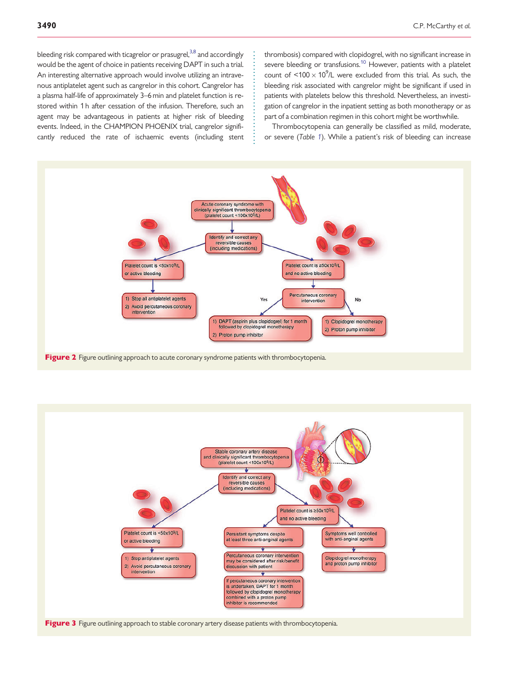<span id="page-2-0"></span>bleeding risk compared with ticagrelor or prasugrel,<sup>3,[8](#page-4-0)</sup> and accordingly would be the agent of choice in patients receiving DAPT in such a trial. An interesting alternative approach would involve utilizing an intravenous antiplatelet agent such as cangrelor in this cohort. Cangrelor has a plasma half-life of approximately 3–6 min and platelet function is restored within 1 h after cessation of the infusion. Therefore, such an agent may be advantageous in patients at higher risk of bleeding events. Indeed, in the CHAMPION PHOENIX trial, cangrelor significantly reduced the rate of ischaemic events (including stent

thrombosis) compared with clopidogrel, with no significant increase in severe bleeding or transfusions.<sup>10</sup> However, patients with a platelet count of <100  $\times$  10<sup>9</sup>/L were excluded from this trial. As such, the bleeding risk associated with cangrelor might be significant if used in patients with platelets below this threshold. Nevertheless, an investigation of cangrelor in the inpatient setting as both monotherapy or as part of a combination regimen in this cohort might be worthwhile.

Thrombocytopenia can generally be classified as mild, moderate, or severe (Table [1](#page-1-0)). While a patient's risk of bleeding can increase



. . . . . . . . . . . . . . . . . . . . . . . . . . .



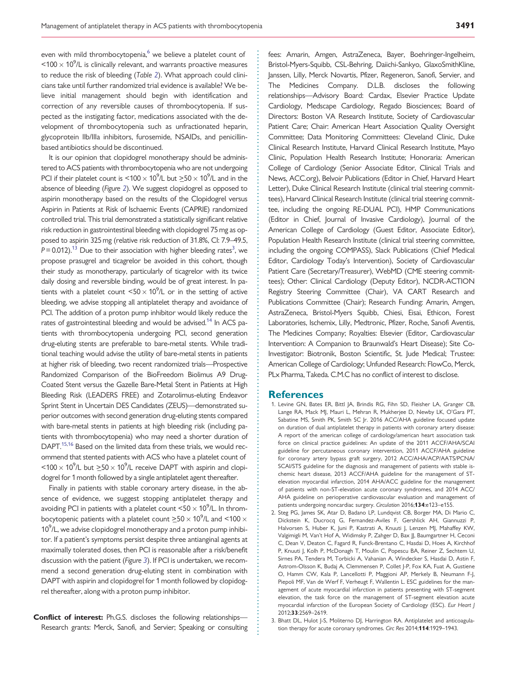<span id="page-3-0"></span>even with mild thrombocytopenia,<sup>6</sup> we believe a platelet count of  $100 \times 10^{9}$ /L is clinically relevant, and warrants proactive measures to reduce the risk of bleeding (Table [2](#page-1-0)). What approach could clinicians take until further randomized trial evidence is available? We believe initial management should begin with identification and correction of any reversible causes of thrombocytopenia. If suspected as the instigating factor, medications associated with the development of thrombocytopenia such as unfractionated heparin, glycoprotein IIb/IIIa inhibitors, furosemide, NSAIDs, and penicillinbased antibiotics should be discontinued.

It is our opinion that clopidogrel monotherapy should be administered to ACS patients with thrombocytopenia who are not undergoing PCI if their platelet count is <100  $\times$  10<sup>9</sup>/L but  $\geq$ 50  $\times$  10<sup>9</sup>/L and in the absence of bleeding (Figure [2](#page-2-0)). We suggest clopidogrel as opposed to aspirin monotherapy based on the results of the Clopidogrel versus Aspirin in Patients at Risk of Ischaemic Events (CAPRIE) randomized controlled trial. This trial demonstrated a statistically significant relative risk reduction in gastrointestinal bleeding with clopidogrel 75 mg as opposed to aspirin 325 mg (relative risk reduction of 31.8%, CI: 7.9–49.5,  $P$  = 0.012).<sup>[13](#page-4-0)</sup> Due to their association with higher bleeding rates<sup>3</sup>, we propose prasugrel and ticagrelor be avoided in this cohort, though their study as monotherapy, particularly of ticagrelor with its twice daily dosing and reversible binding, would be of great interest. In patients with a platelet count  $\leq 50 \times 10^9$ /L or in the setting of active bleeding, we advise stopping all antiplatelet therapy and avoidance of PCI. The addition of a proton pump inhibitor would likely reduce the rates of gastrointestinal bleeding and would be advised.<sup>14</sup> In ACS patients with thrombocytopenia undergoing PCI, second generation drug-eluting stents are preferable to bare-metal stents. While traditional teaching would advise the utility of bare-metal stents in patients at higher risk of bleeding, two recent randomized trials—Prospective Randomized Comparison of the BioFreedom Biolimus A9 Drug-Coated Stent versus the Gazelle Bare-Metal Stent in Patients at High Bleeding Risk (LEADERS FREE) and Zotarolimus-eluting Endeavor Sprint Stent in Uncertain DES Candidates (ZEUS)—demonstrated superior outcomes with second generation drug-eluting stents compared with bare-metal stents in patients at high bleeding risk (including patients with thrombocytopenia) who may need a shorter duration of DAPT.<sup>15,16</sup> Based on the limited data from these trials, we would recommend that stented patients with ACS who have a platelet count of <100  $\times$  10<sup>9</sup>/L but  $\geq$ 50  $\times$  10<sup>9</sup>/L receive DAPT with aspirin and clopidogrel for 1 month followed by a single antiplatelet agent thereafter.

Finally in patients with stable coronary artery disease, in the absence of evidence, we suggest stopping antiplatelet therapy and avoiding PCI in patients with a platelet count  $<$ 50  $\times$  10 $^9$ /L. In thrombocytopenic patients with a platelet count  $\geq$ 50  $\times$  10 $^9$ /L and <100  $\times$ 10<sup>9</sup>/L, we advise clopidogrel monotherapy and a proton pump inhibitor. If a patient's symptoms persist despite three antianginal agents at maximally tolerated doses, then PCI is reasonable after a risk/benefit discussion with the patient (Figure [3](#page-2-0)). If PCI is undertaken, we recommend a second generation drug-eluting stent in combination with DAPT with aspirin and clopidogrel for 1 month followed by clopidogrel thereafter, along with a proton pump inhibitor.

Conflict of interest: Ph.G.S. discloses the following relationships-Research grants: Merck, Sanofi, and Servier; Speaking or consulting

fees: Amarin, Amgen, AstraZeneca, Bayer, Boehringer-Ingelheim, Bristol-Myers-Squibb, CSL-Behring, Daiichi-Sankyo, GlaxoSmithKline, Janssen, Lilly, Merck Novartis, Pfizer, Regeneron, Sanofi, Servier, and The Medicines Company. D.L.B. discloses the following relationships—Advisory Board: Cardax, Elsevier Practice Update Cardiology, Medscape Cardiology, Regado Biosciences; Board of Directors: Boston VA Research Institute, Society of Cardiovascular Patient Care; Chair: American Heart Association Quality Oversight Committee; Data Monitoring Committees: Cleveland Clinic, Duke Clinical Research Institute, Harvard Clinical Research Institute, Mayo Clinic, Population Health Research Institute; Honoraria: American College of Cardiology (Senior Associate Editor, Clinical Trials and News, ACC.org), Belvoir Publications (Editor in Chief, Harvard Heart Letter), Duke Clinical Research Institute (clinical trial steering committees), Harvard Clinical Research Institute (clinical trial steering committee, including the ongoing RE-DUAL PCI), HMP Communications (Editor in Chief, Journal of Invasive Cardiology), Journal of the American College of Cardiology (Guest Editor, Associate Editor), Population Health Research Institute (clinical trial steering committee, including the ongoing COMPASS), Slack Publications (Chief Medical Editor, Cardiology Today's Intervention), Society of Cardiovascular Patient Care (Secretary/Treasurer), WebMD (CME steering committees); Other: Clinical Cardiology (Deputy Editor), NCDR-ACTION Registry Steering Committee (Chair), VA CART Research and Publications Committee (Chair); Research Funding: Amarin, Amgen, AstraZeneca, Bristol-Myers Squibb, Chiesi, Eisai, Ethicon, Forest Laboratories, Ischemix, Lilly, Medtronic, Pfizer, Roche, Sanofi Aventis, The Medicines Company; Royalties: Elsevier (Editor, Cardiovascular Intervention: A Companion to Braunwald's Heart Disease); Site Co-Investigator: Biotronik, Boston Scientific, St. Jude Medical; Trustee: American College of Cardiology; Unfunded Research: FlowCo, Merck, PLx Pharma, Takeda. C.M.C has no conflict of interest to disclose.

#### **References**

. . . . . . . . . . . . . . . . . . . . . . . . . . . . . . . . . . . . . . . . . . . . . . . . . . . . . . . . . . . . . . . . . . . . . . . . . . . . . . . . . . . . . . . . . . . . . . . . . . . . . . . . . . . . . . . . . . . . . . . . . . . . . . . . . . . . . . . . . . . . . . . . . . . . . . . . . . . . . . . . . . . . . . . . . . . .

- 1. Levine GN, Bates ER, Bittl JA, Brindis RG, Fihn SD, Fleisher LA, Granger CB, Lange RA, Mack MJ, Mauri L, Mehran R, Mukherjee D, Newby LK, O'Gara PT, Sabatine MS, Smith PK, Smith SC Jr. 2016 ACC/AHA guideline focused update on duration of dual antiplatelet therapy in patients with coronary artery disease: A report of the american college of cardiology/american heart association task force on clinical practice guidelines: An update of the 2011 ACCF/AHA/SCAI guideline for percutaneous coronary intervention, 2011 ACCF/AHA guideline for coronary artery bypass graft surgery, 2012 ACC/AHA/ACP/AATS/PCNA/ SCAI/STS guideline for the diagnosis and management of patients with stable ischemic heart disease, 2013 ACCF/AHA guideline for the management of STelevation myocardial infarction, 2014 AHA/ACC guideline for the management of patients with non-ST-elevation acute coronary syndromes, and 2014 ACC/ AHA guideline on perioperative cardiovascular evaluation and management of patients undergoing noncardiac surgery. Circulation 2016;134:e123-e155.
- 2. Steg PG, James SK, Atar D, Badano LP, Lundqvist CB, Borger MA, Di Mario C, Dickstein K, Ducrocq G, Fernandez-Aviles F, Gershlick AH, Giannuzzi P, Halvorsen S, Huber K, Juni P, Kastrati A, Knuuti J, Lenzen MJ, Mahaffey KW, Valgimigli M, Van't Hof A, Widimsky P, Zahger D, Bax JJ, Baumgartner H, Ceconi C, Dean V, Deaton C, Fagard R, Funck-Brentano C, Hasdai D, Hoes A, Kirchhof P, Knuuti J, Kolh P, McDonagh T, Moulin C, Popescu BA, Reiner Z, Sechtem U, Sirnes PA, Tendera M, Torbicki A, Vahanian A, Windecker S, Hasdai D, Astin F, Astrom-Olsson K, Budaj A, Clemmensen P, Collet J-P, Fox KA, Fuat A, Gustiene O, Hamm CW, Kala P, Lancellotti P, Maggioni AP, Merkely B, Neumann F-J, Piepoli MF, Van de Werf F, Verheugt F, Wallentin L. ESC guidelines for the management of acute myocardial infarction in patients presenting with ST-segment elevation, the task force on the management of ST-segment elevation acute myocardial infarction of the European Society of Cardiology (ESC). Eur Heart J 2012;33:2569–2619.
- 3. Bhatt DL, Hulot J-S, Moliterno DJ, Harrington RA. Antiplatelet and anticoagulation therapy for acute coronary syndromes. Circ Res 2014;114:1929–1943.